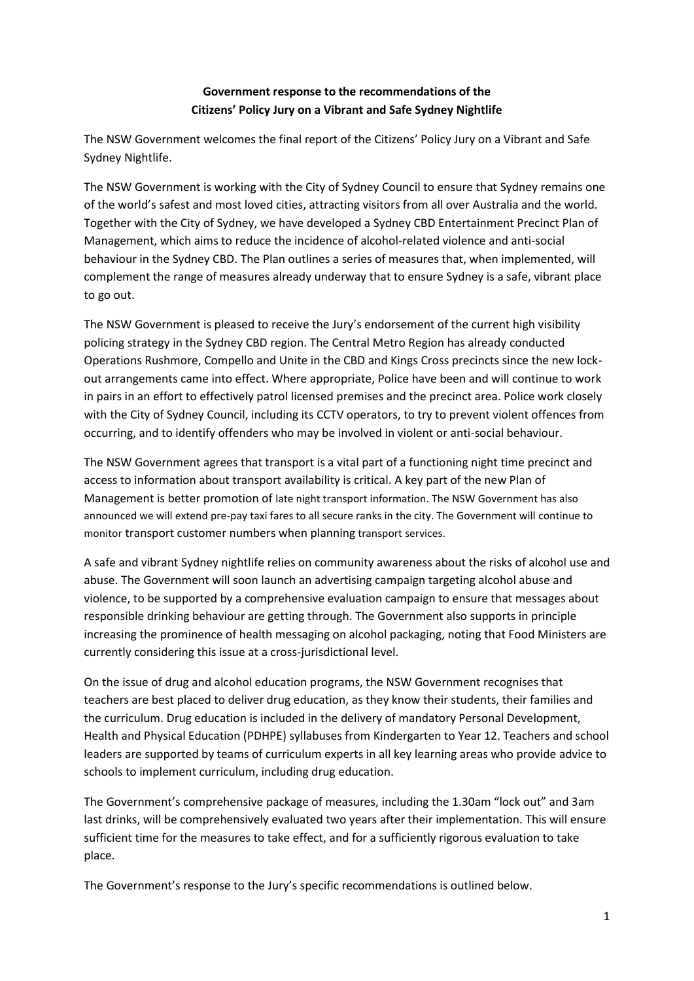### **Government response to the recommendations of the Citizens' Policy Jury on a Vibrant and Safe Sydney Nightlife**

The NSW Government welcomes the final report of the Citizens' Policy Jury on a Vibrant and Safe Sydney Nightlife.

The NSW Government is working with the City of Sydney Council to ensure that Sydney remains one of the world's safest and most loved cities, attracting visitors from all over Australia and the world. Together with the City of Sydney, we have developed a Sydney CBD Entertainment Precinct Plan of Management, which aims to reduce the incidence of alcohol-related violence and anti-social behaviour in the Sydney CBD. The Plan outlines a series of measures that, when implemented, will complement the range of measures already underway that to ensure Sydney is a safe, vibrant place to go out.

The NSW Government is pleased to receive the Jury's endorsement of the current high visibility policing strategy in the Sydney CBD region. The Central Metro Region has already conducted Operations Rushmore, Compello and Unite in the CBD and Kings Cross precincts since the new lockout arrangements came into effect. Where appropriate, Police have been and will continue to work in pairs in an effort to effectively patrol licensed premises and the precinct area. Police work closely with the City of Sydney Council, including its CCTV operators, to try to prevent violent offences from occurring, and to identify offenders who may be involved in violent or anti-social behaviour.

The NSW Government agrees that transport is a vital part of a functioning night time precinct and access to information about transport availability is critical. A key part of the new Plan of Management is better promotion of late night transport information. The NSW Government has also announced we will extend pre-pay taxi fares to all secure ranks in the city. The Government will continue to monitor transport customer numbers when planning transport services.

A safe and vibrant Sydney nightlife relies on community awareness about the risks of alcohol use and abuse. The Government will soon launch an advertising campaign targeting alcohol abuse and violence, to be supported by a comprehensive evaluation campaign to ensure that messages about responsible drinking behaviour are getting through. The Government also supports in principle increasing the prominence of health messaging on alcohol packaging, noting that Food Ministers are currently considering this issue at a cross-jurisdictional level.

On the issue of drug and alcohol education programs, the NSW Government recognises that teachers are best placed to deliver drug education, as they know their students, their families and the curriculum. Drug education is included in the delivery of mandatory Personal Development, Health and Physical Education (PDHPE) syllabuses from Kindergarten to Year 12. Teachers and school leaders are supported by teams of curriculum experts in all key learning areas who provide advice to schools to implement curriculum, including drug education.

The Government's comprehensive package of measures, including the 1.30am "lock out" and 3am last drinks, will be comprehensively evaluated two years after their implementation. This will ensure sufficient time for the measures to take effect, and for a sufficiently rigorous evaluation to take place.

The Government's response to the Jury's specific recommendations is outlined below.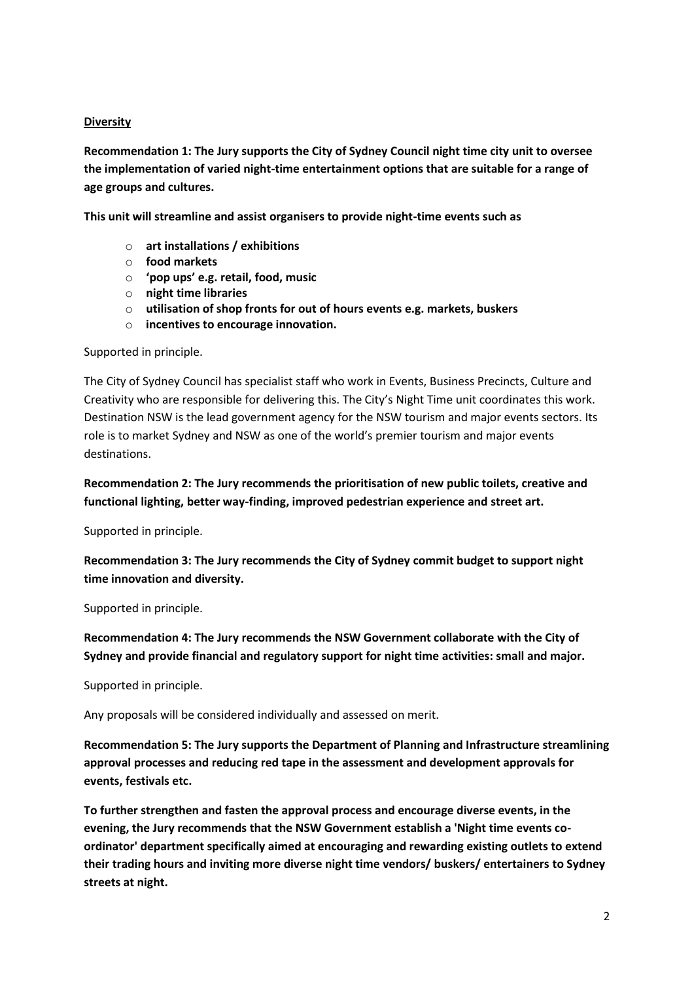#### **Diversity**

**Recommendation 1: The Jury supports the City of Sydney Council night time city unit to oversee the implementation of varied night-time entertainment options that are suitable for a range of age groups and cultures.**

**This unit will streamline and assist organisers to provide night-time events such as** 

- o **art installations / exhibitions**
- o **food markets**
- o **'pop ups' e.g. retail, food, music**
- o **night time libraries**
- o **utilisation of shop fronts for out of hours events e.g. markets, buskers**
- o **incentives to encourage innovation.**

Supported in principle.

The City of Sydney Council has specialist staff who work in Events, Business Precincts, Culture and Creativity who are responsible for delivering this. The City's Night Time unit coordinates this work. Destination NSW is the lead government agency for the NSW tourism and major events sectors. Its role is to market Sydney and NSW as one of the world's premier tourism and major events destinations.

**Recommendation 2: The Jury recommends the prioritisation of new public toilets, creative and functional lighting, better way-finding, improved pedestrian experience and street art.**

Supported in principle.

**Recommendation 3: The Jury recommends the City of Sydney commit budget to support night time innovation and diversity.**

Supported in principle.

**Recommendation 4: The Jury recommends the NSW Government collaborate with the City of Sydney and provide financial and regulatory support for night time activities: small and major.**

Supported in principle.

Any proposals will be considered individually and assessed on merit.

**Recommendation 5: The Jury supports the Department of Planning and Infrastructure streamlining approval processes and reducing red tape in the assessment and development approvals for events, festivals etc.**

**To further strengthen and fasten the approval process and encourage diverse events, in the evening, the Jury recommends that the NSW Government establish a 'Night time events coordinator' department specifically aimed at encouraging and rewarding existing outlets to extend their trading hours and inviting more diverse night time vendors/ buskers/ entertainers to Sydney streets at night.**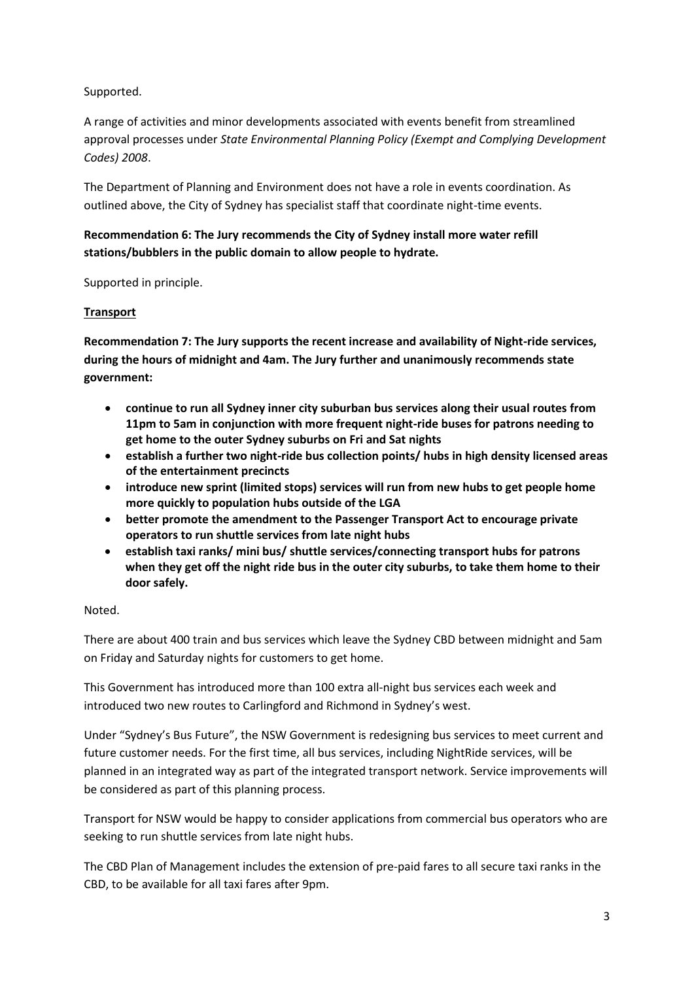Supported.

A range of activities and minor developments associated with events benefit from streamlined approval processes under *State Environmental Planning Policy (Exempt and Complying Development Codes) 2008*.

The Department of Planning and Environment does not have a role in events coordination. As outlined above, the City of Sydney has specialist staff that coordinate night-time events.

## **Recommendation 6: The Jury recommends the City of Sydney install more water refill stations/bubblers in the public domain to allow people to hydrate.**

Supported in principle.

### **Transport**

**Recommendation 7: The Jury supports the recent increase and availability of Night-ride services, during the hours of midnight and 4am. The Jury further and unanimously recommends state government:**

- **continue to run all Sydney inner city suburban bus services along their usual routes from 11pm to 5am in conjunction with more frequent night-ride buses for patrons needing to get home to the outer Sydney suburbs on Fri and Sat nights**
- **establish a further two night-ride bus collection points/ hubs in high density licensed areas of the entertainment precincts**
- **introduce new sprint (limited stops) services will run from new hubs to get people home more quickly to population hubs outside of the LGA**
- **better promote the amendment to the Passenger Transport Act to encourage private operators to run shuttle services from late night hubs**
- **establish taxi ranks/ mini bus/ shuttle services/connecting transport hubs for patrons when they get off the night ride bus in the outer city suburbs, to take them home to their door safely.**

#### Noted.

There are about 400 train and bus services which leave the Sydney CBD between midnight and 5am on Friday and Saturday nights for customers to get home.

This Government has introduced more than 100 extra all-night bus services each week and introduced two new routes to Carlingford and Richmond in Sydney's west.

Under "Sydney's Bus Future", the NSW Government is redesigning bus services to meet current and future customer needs. For the first time, all bus services, including NightRide services, will be planned in an integrated way as part of the integrated transport network. Service improvements will be considered as part of this planning process.

Transport for NSW would be happy to consider applications from commercial bus operators who are seeking to run shuttle services from late night hubs.

The CBD Plan of Management includes the extension of pre-paid fares to all secure taxi ranks in the CBD, to be available for all taxi fares after 9pm.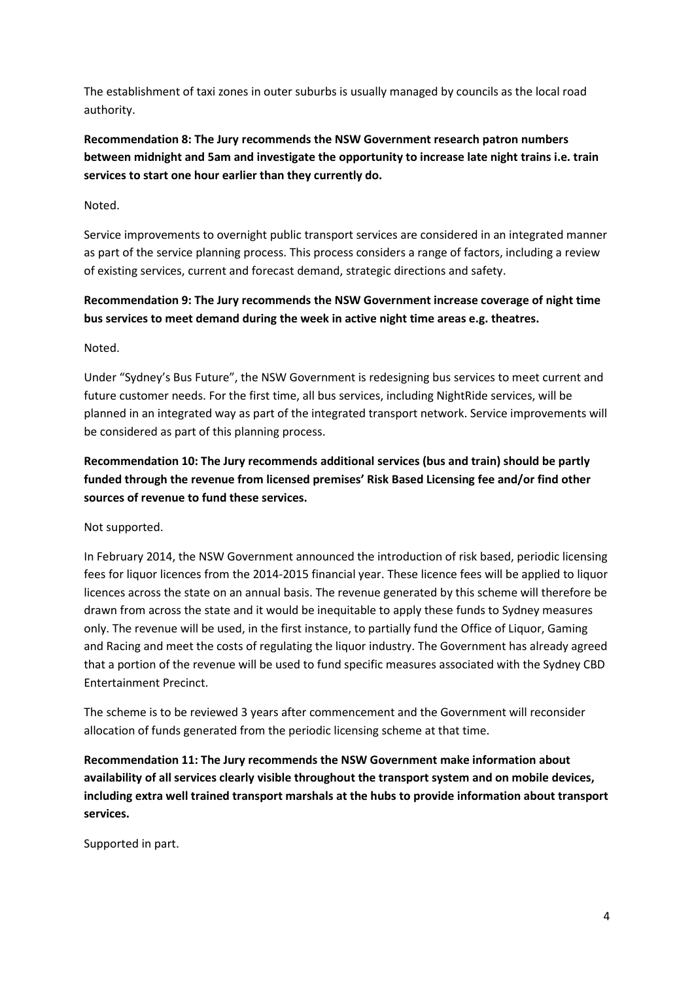The establishment of taxi zones in outer suburbs is usually managed by councils as the local road authority.

**Recommendation 8: The Jury recommends the NSW Government research patron numbers between midnight and 5am and investigate the opportunity to increase late night trains i.e. train services to start one hour earlier than they currently do.**

Noted.

Service improvements to overnight public transport services are considered in an integrated manner as part of the service planning process. This process considers a range of factors, including a review of existing services, current and forecast demand, strategic directions and safety.

**Recommendation 9: The Jury recommends the NSW Government increase coverage of night time bus services to meet demand during the week in active night time areas e.g. theatres.**

Noted.

Under "Sydney's Bus Future", the NSW Government is redesigning bus services to meet current and future customer needs. For the first time, all bus services, including NightRide services, will be planned in an integrated way as part of the integrated transport network. Service improvements will be considered as part of this planning process.

**Recommendation 10: The Jury recommends additional services (bus and train) should be partly funded through the revenue from licensed premises' Risk Based Licensing fee and/or find other sources of revenue to fund these services.**

Not supported.

In February 2014, the NSW Government announced the introduction of risk based, periodic licensing fees for liquor licences from the 2014-2015 financial year. These licence fees will be applied to liquor licences across the state on an annual basis. The revenue generated by this scheme will therefore be drawn from across the state and it would be inequitable to apply these funds to Sydney measures only. The revenue will be used, in the first instance, to partially fund the Office of Liquor, Gaming and Racing and meet the costs of regulating the liquor industry. The Government has already agreed that a portion of the revenue will be used to fund specific measures associated with the Sydney CBD Entertainment Precinct.

The scheme is to be reviewed 3 years after commencement and the Government will reconsider allocation of funds generated from the periodic licensing scheme at that time.

**Recommendation 11: The Jury recommends the NSW Government make information about availability of all services clearly visible throughout the transport system and on mobile devices, including extra well trained transport marshals at the hubs to provide information about transport services.**

Supported in part.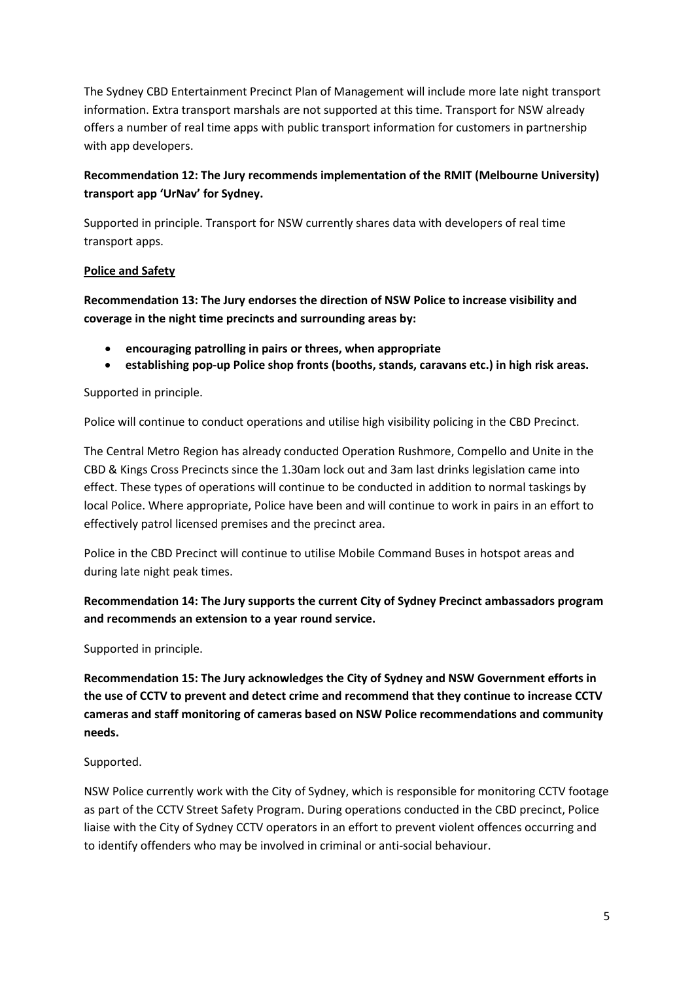The Sydney CBD Entertainment Precinct Plan of Management will include more late night transport information. Extra transport marshals are not supported at this time. Transport for NSW already offers a number of real time apps with public transport information for customers in partnership with app developers.

## **Recommendation 12: The Jury recommends implementation of the RMIT (Melbourne University) transport app 'UrNav' for Sydney.**

Supported in principle. Transport for NSW currently shares data with developers of real time transport apps.

#### **Police and Safety**

**Recommendation 13: The Jury endorses the direction of NSW Police to increase visibility and coverage in the night time precincts and surrounding areas by:**

- **encouraging patrolling in pairs or threes, when appropriate**
- **establishing pop-up Police shop fronts (booths, stands, caravans etc.) in high risk areas.**

Supported in principle.

Police will continue to conduct operations and utilise high visibility policing in the CBD Precinct.

The Central Metro Region has already conducted Operation Rushmore, Compello and Unite in the CBD & Kings Cross Precincts since the 1.30am lock out and 3am last drinks legislation came into effect. These types of operations will continue to be conducted in addition to normal taskings by local Police. Where appropriate, Police have been and will continue to work in pairs in an effort to effectively patrol licensed premises and the precinct area.

Police in the CBD Precinct will continue to utilise Mobile Command Buses in hotspot areas and during late night peak times.

# **Recommendation 14: The Jury supports the current City of Sydney Precinct ambassadors program and recommends an extension to a year round service.**

Supported in principle.

**Recommendation 15: The Jury acknowledges the City of Sydney and NSW Government efforts in the use of CCTV to prevent and detect crime and recommend that they continue to increase CCTV cameras and staff monitoring of cameras based on NSW Police recommendations and community needs.**

## Supported.

NSW Police currently work with the City of Sydney, which is responsible for monitoring CCTV footage as part of the CCTV Street Safety Program. During operations conducted in the CBD precinct, Police liaise with the City of Sydney CCTV operators in an effort to prevent violent offences occurring and to identify offenders who may be involved in criminal or anti-social behaviour.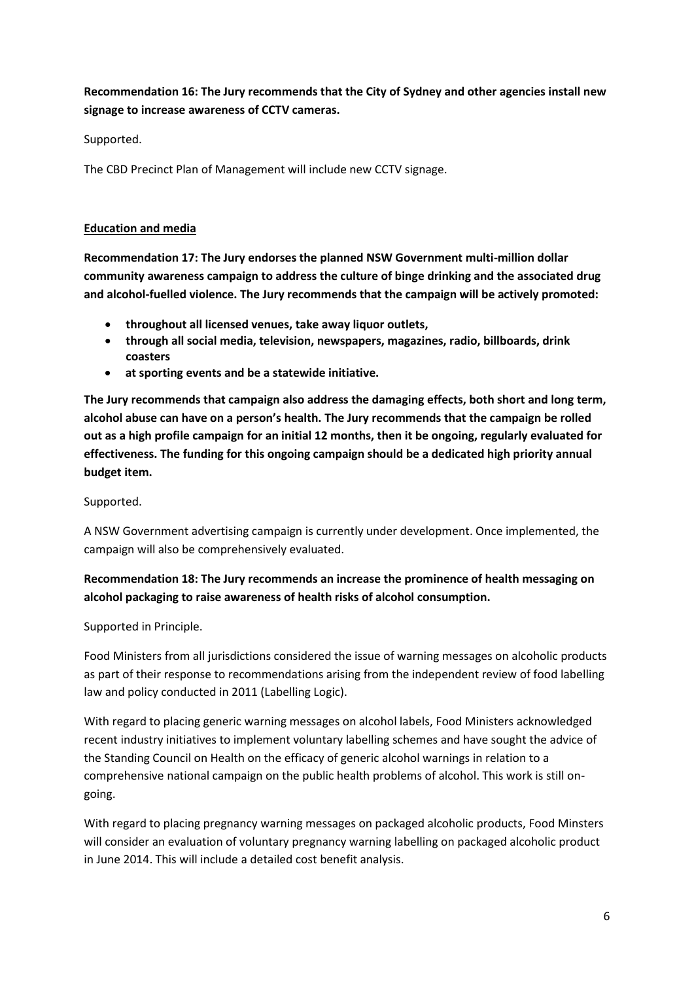**Recommendation 16: The Jury recommends that the City of Sydney and other agencies install new signage to increase awareness of CCTV cameras.**

Supported.

The CBD Precinct Plan of Management will include new CCTV signage.

#### **Education and media**

**Recommendation 17: The Jury endorses the planned NSW Government multi-million dollar community awareness campaign to address the culture of binge drinking and the associated drug and alcohol-fuelled violence. The Jury recommends that the campaign will be actively promoted:**

- **throughout all licensed venues, take away liquor outlets,**
- **through all social media, television, newspapers, magazines, radio, billboards, drink coasters**
- **at sporting events and be a statewide initiative.**

**The Jury recommends that campaign also address the damaging effects, both short and long term, alcohol abuse can have on a person's health. The Jury recommends that the campaign be rolled out as a high profile campaign for an initial 12 months, then it be ongoing, regularly evaluated for effectiveness. The funding for this ongoing campaign should be a dedicated high priority annual budget item.**

Supported.

A NSW Government advertising campaign is currently under development. Once implemented, the campaign will also be comprehensively evaluated.

## **Recommendation 18: The Jury recommends an increase the prominence of health messaging on alcohol packaging to raise awareness of health risks of alcohol consumption.**

Supported in Principle.

Food Ministers from all jurisdictions considered the issue of warning messages on alcoholic products as part of their response to recommendations arising from the independent review of food labelling law and policy conducted in 2011 (Labelling Logic).

With regard to placing generic warning messages on alcohol labels, Food Ministers acknowledged recent industry initiatives to implement voluntary labelling schemes and have sought the advice of the Standing Council on Health on the efficacy of generic alcohol warnings in relation to a comprehensive national campaign on the public health problems of alcohol. This work is still ongoing.

With regard to placing pregnancy warning messages on packaged alcoholic products, Food Minsters will consider an evaluation of voluntary pregnancy warning labelling on packaged alcoholic product in June 2014. This will include a detailed cost benefit analysis.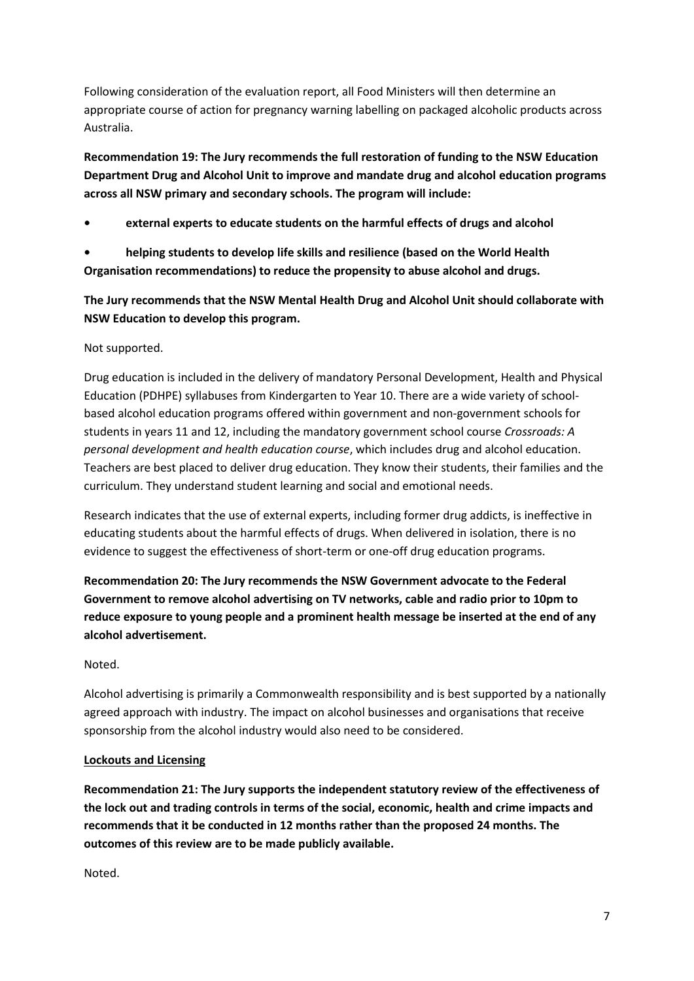Following consideration of the evaluation report, all Food Ministers will then determine an appropriate course of action for pregnancy warning labelling on packaged alcoholic products across Australia.

**Recommendation 19: The Jury recommends the full restoration of funding to the NSW Education Department Drug and Alcohol Unit to improve and mandate drug and alcohol education programs across all NSW primary and secondary schools. The program will include:**

**• external experts to educate students on the harmful effects of drugs and alcohol**

**• helping students to develop life skills and resilience (based on the World Health Organisation recommendations) to reduce the propensity to abuse alcohol and drugs.**

**The Jury recommends that the NSW Mental Health Drug and Alcohol Unit should collaborate with NSW Education to develop this program.**

#### Not supported.

Drug education is included in the delivery of mandatory Personal Development, Health and Physical Education (PDHPE) syllabuses from Kindergarten to Year 10. There are a wide variety of schoolbased alcohol education programs offered within government and non-government schools for students in years 11 and 12, including the mandatory government school course *Crossroads: A personal development and health education course*, which includes drug and alcohol education. Teachers are best placed to deliver drug education. They know their students, their families and the curriculum. They understand student learning and social and emotional needs.

Research indicates that the use of external experts, including former drug addicts, is ineffective in educating students about the harmful effects of drugs. When delivered in isolation, there is no evidence to suggest the effectiveness of short-term or one-off drug education programs.

**Recommendation 20: The Jury recommends the NSW Government advocate to the Federal Government to remove alcohol advertising on TV networks, cable and radio prior to 10pm to reduce exposure to young people and a prominent health message be inserted at the end of any alcohol advertisement.**

#### Noted.

Alcohol advertising is primarily a Commonwealth responsibility and is best supported by a nationally agreed approach with industry. The impact on alcohol businesses and organisations that receive sponsorship from the alcohol industry would also need to be considered.

#### **Lockouts and Licensing**

**Recommendation 21: The Jury supports the independent statutory review of the effectiveness of the lock out and trading controls in terms of the social, economic, health and crime impacts and recommends that it be conducted in 12 months rather than the proposed 24 months. The outcomes of this review are to be made publicly available.**

Noted.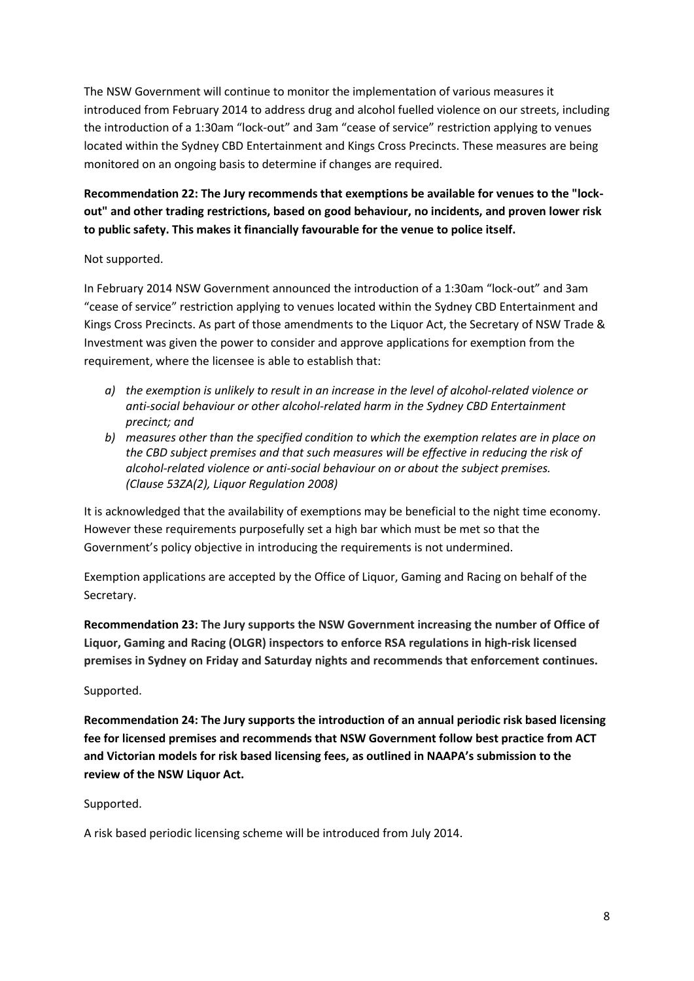The NSW Government will continue to monitor the implementation of various measures it introduced from February 2014 to address drug and alcohol fuelled violence on our streets, including the introduction of a 1:30am "lock-out" and 3am "cease of service" restriction applying to venues located within the Sydney CBD Entertainment and Kings Cross Precincts. These measures are being monitored on an ongoing basis to determine if changes are required.

# **Recommendation 22: The Jury recommends that exemptions be available for venues to the "lockout" and other trading restrictions, based on good behaviour, no incidents, and proven lower risk to public safety. This makes it financially favourable for the venue to police itself.**

### Not supported.

In February 2014 NSW Government announced the introduction of a 1:30am "lock-out" and 3am "cease of service" restriction applying to venues located within the Sydney CBD Entertainment and Kings Cross Precincts. As part of those amendments to the Liquor Act, the Secretary of NSW Trade & Investment was given the power to consider and approve applications for exemption from the requirement, where the licensee is able to establish that:

- *a) the exemption is unlikely to result in an increase in the level of alcohol-related violence or anti-social behaviour or other alcohol-related harm in the Sydney CBD Entertainment precinct; and*
- *b) measures other than the specified condition to which the exemption relates are in place on the CBD subject premises and that such measures will be effective in reducing the risk of alcohol-related violence or anti-social behaviour on or about the subject premises. (Clause 53ZA(2), Liquor Regulation 2008)*

It is acknowledged that the availability of exemptions may be beneficial to the night time economy. However these requirements purposefully set a high bar which must be met so that the Government's policy objective in introducing the requirements is not undermined.

Exemption applications are accepted by the Office of Liquor, Gaming and Racing on behalf of the Secretary.

**Recommendation 23: The Jury supports the NSW Government increasing the number of Office of Liquor, Gaming and Racing (OLGR) inspectors to enforce RSA regulations in high-risk licensed premises in Sydney on Friday and Saturday nights and recommends that enforcement continues.**

#### Supported.

**Recommendation 24: The Jury supports the introduction of an annual periodic risk based licensing fee for licensed premises and recommends that NSW Government follow best practice from ACT and Victorian models for risk based licensing fees, as outlined in NAAPA's submission to the review of the NSW Liquor Act.**

#### Supported.

A risk based periodic licensing scheme will be introduced from July 2014.